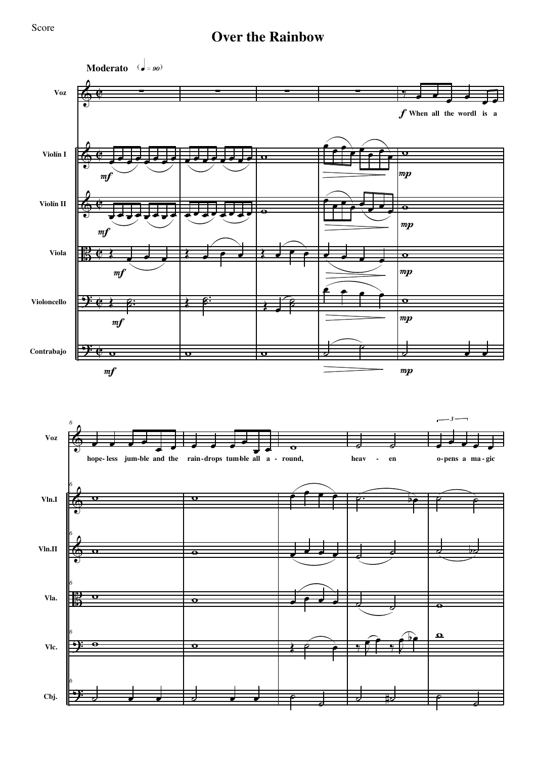## **Over the Rainbow**

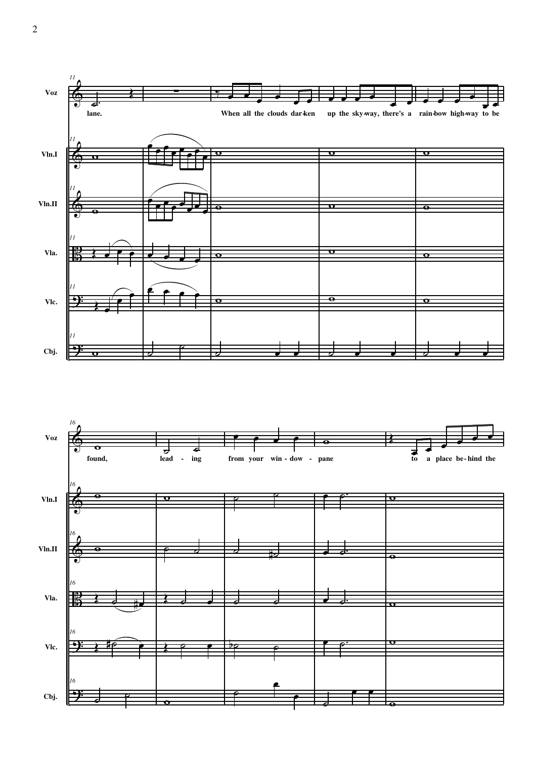

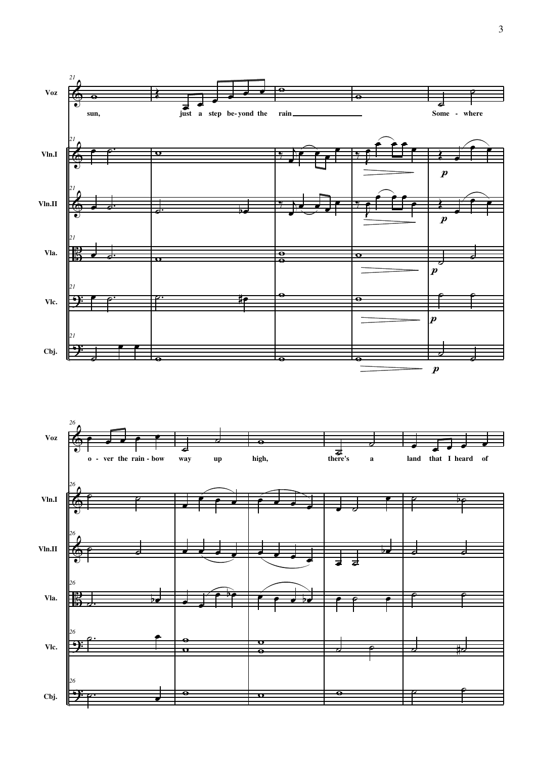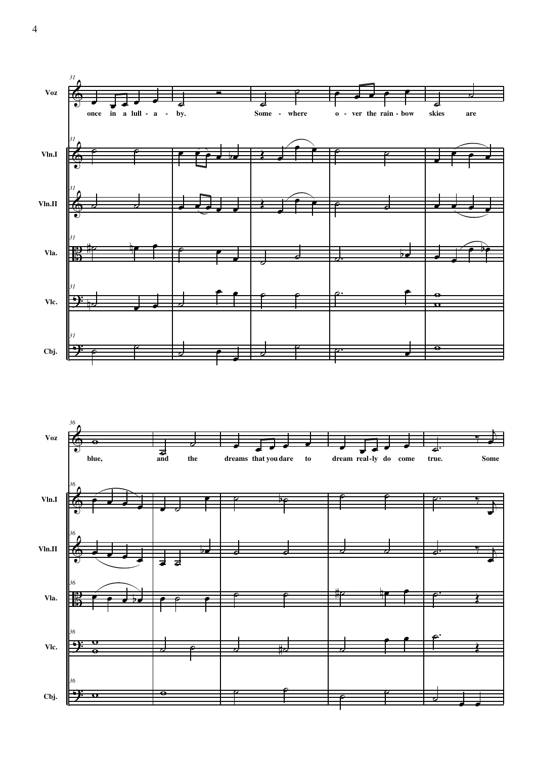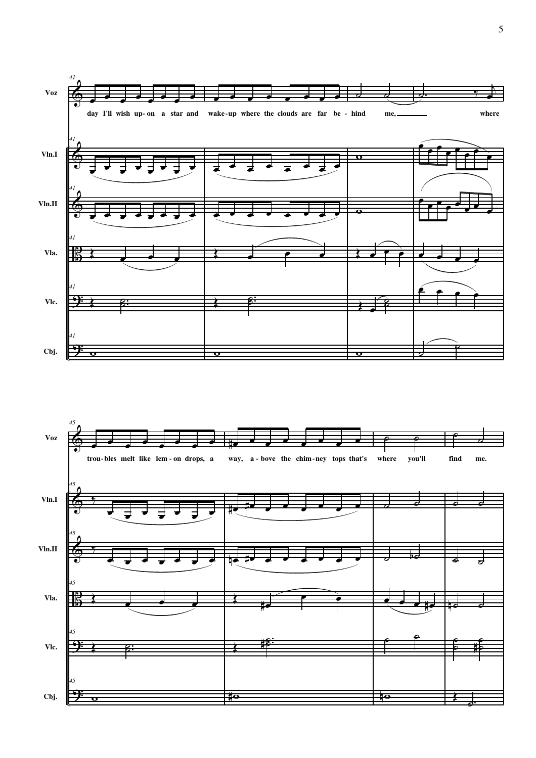

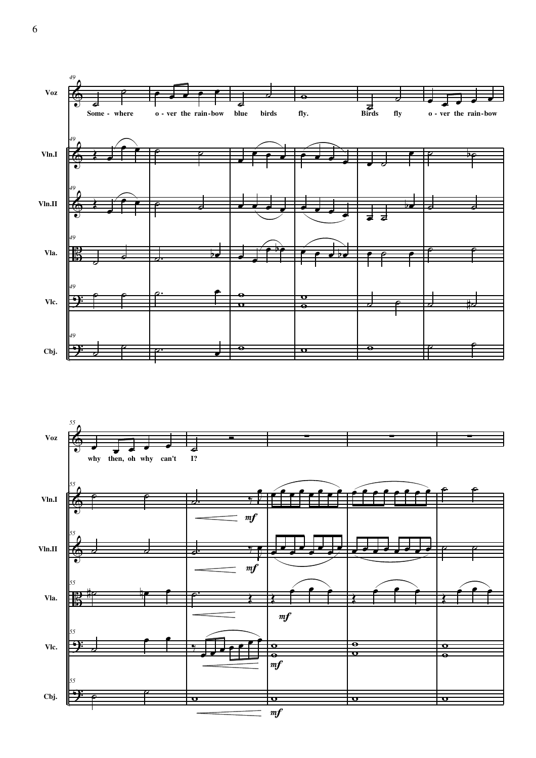